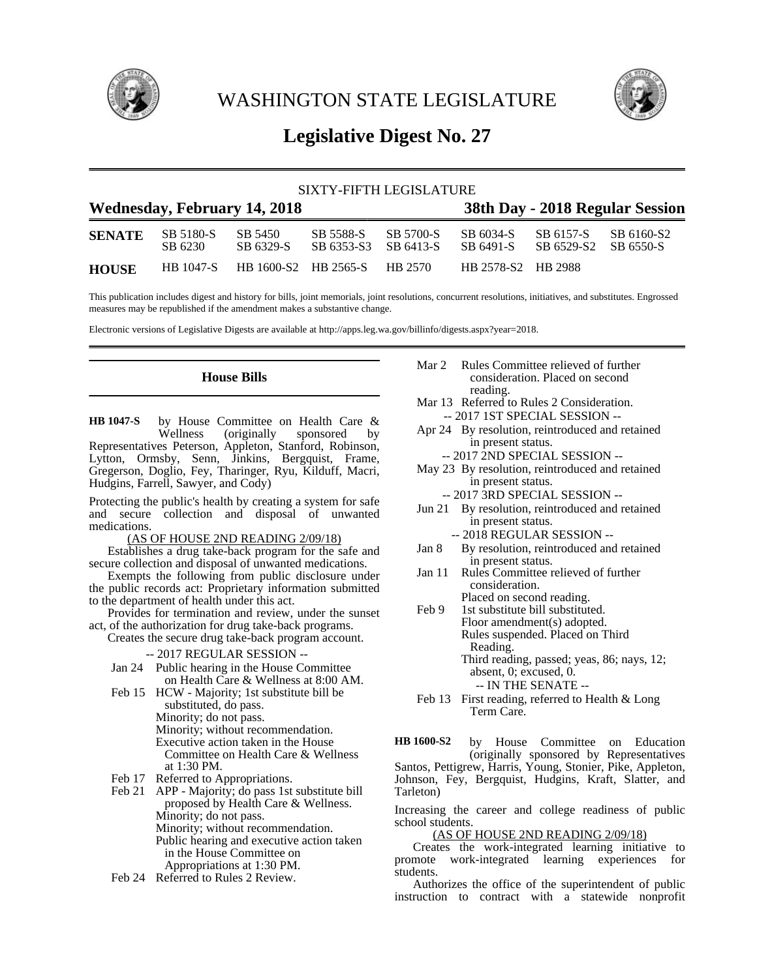

WASHINGTON STATE LEGISLATURE



# **Legislative Digest No. 27**

| SIXTY-FIFTH LEGISLATURE             |                      |                      |                              |                        |                                 |                         |                         |
|-------------------------------------|----------------------|----------------------|------------------------------|------------------------|---------------------------------|-------------------------|-------------------------|
| <b>Wednesday, February 14, 2018</b> |                      |                      |                              |                        | 38th Day - 2018 Regular Session |                         |                         |
| <b>SENATE</b>                       | SB 5180-S<br>SB 6230 | SB 5450<br>SB 6329-S | SB 5588-S<br>SB 6353-S3      | SB 5700-S<br>SB 6413-S | SB 6034-S<br>SB 6491-S          | SB 6157-S<br>SB 6529-S2 | SB 6160-S2<br>SB 6550-S |
| <b>HOUSE</b>                        | <b>HB</b> 1047-S     |                      | HB 1600-S2 HB 2565-S HB 2570 |                        | HB 2578-S2 HB 2988              |                         |                         |

This publication includes digest and history for bills, joint memorials, joint resolutions, concurrent resolutions, initiatives, and substitutes. Engrossed measures may be republished if the amendment makes a substantive change.

Electronic versions of Legislative Digests are available at http://apps.leg.wa.gov/billinfo/digests.aspx?year=2018.

# **House Bills**

by House Committee on Health Care &<br>Wellness (originally sponsored by (originally sponsored Representatives Peterson, Appleton, Stanford, Robinson, Lytton, Ormsby, Senn, Jinkins, Bergquist, Frame, Gregerson, Doglio, Fey, Tharinger, Ryu, Kilduff, Macri, Hudgins, Farrell, Sawyer, and Cody) **HB 1047-S**

Protecting the public's health by creating a system for safe and secure collection and disposal of unwanted medications.

(AS OF HOUSE 2ND READING 2/09/18)

Establishes a drug take-back program for the safe and secure collection and disposal of unwanted medications.

Exempts the following from public disclosure under the public records act: Proprietary information submitted to the department of health under this act.

Provides for termination and review, under the sunset act, of the authorization for drug take-back programs.

Creates the secure drug take-back program account.

#### -- 2017 REGULAR SESSION --

Jan 24 Public hearing in the House Committee on Health Care & Wellness at 8:00 AM.

- Feb 15 HCW Majority; 1st substitute bill be substituted, do pass. Minority; do not pass. Minority; without recommendation. Executive action taken in the House Committee on Health Care & Wellness at 1:30 PM.
- Feb 17 Referred to Appropriations.
- Feb 21 APP Majority; do pass 1st substitute bill proposed by Health Care & Wellness. Minority; do not pass. Minority; without recommendation. Public hearing and executive action taken in the House Committee on Appropriations at 1:30 PM.
- Feb 24 Referred to Rules 2 Review.
- Mar 2 Rules Committee relieved of further consideration. Placed on second reading.
- Mar 13 Referred to Rules 2 Consideration. -- 2017 1ST SPECIAL SESSION --
- Apr 24 By resolution, reintroduced and retained in present status.
	- -- 2017 2ND SPECIAL SESSION --
- May 23 By resolution, reintroduced and retained in present status.
	- -- 2017 3RD SPECIAL SESSION --
- Jun 21 By resolution, reintroduced and retained in present status. -- 2018 REGULAR SESSION --
- Jan 8 By resolution, reintroduced and retained in present status.
- Jan 11 Rules Committee relieved of further consideration. Placed on second reading.
- Feb 9 1st substitute bill substituted. Floor amendment(s) adopted. Rules suspended. Placed on Third Reading. Third reading, passed; yeas, 86; nays, 12; absent, 0; excused, 0. -- IN THE SENATE --
- Feb 13 First reading, referred to Health & Long Term Care.

by House Committee on Education (originally sponsored by Representatives Santos, Pettigrew, Harris, Young, Stonier, Pike, Appleton, Johnson, Fey, Bergquist, Hudgins, Kraft, Slatter, and Tarleton) **HB 1600-S2**

Increasing the career and college readiness of public school students.

# (AS OF HOUSE 2ND READING 2/09/18)

Creates the work-integrated learning initiative to promote work-integrated learning experiences for students.

Authorizes the office of the superintendent of public instruction to contract with a statewide nonprofit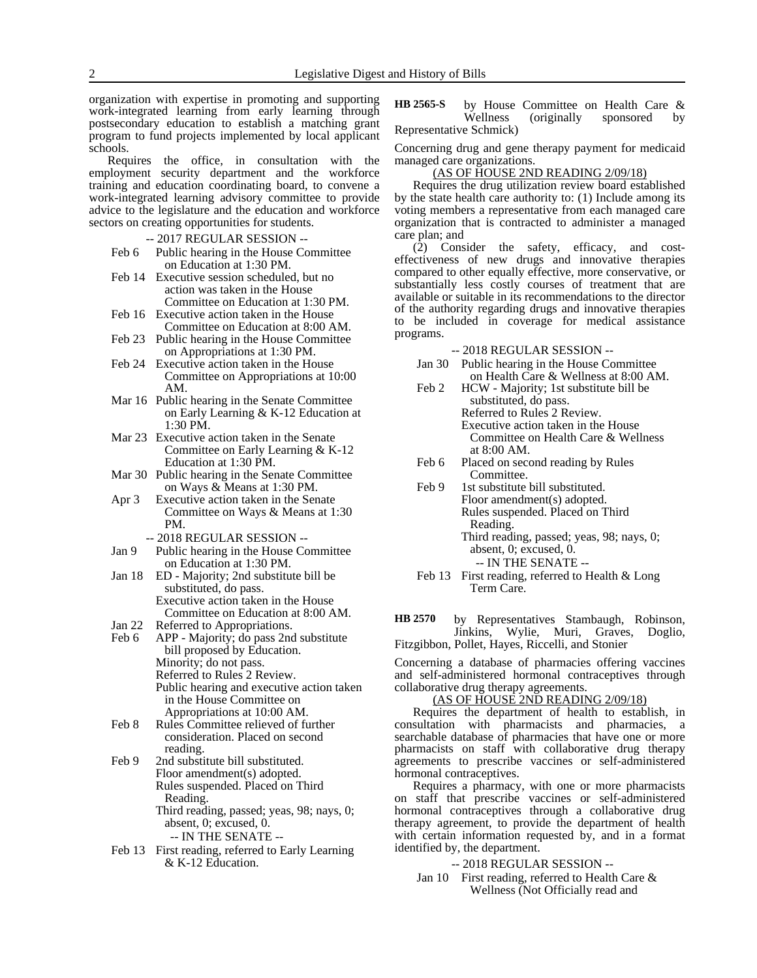organization with expertise in promoting and supporting work-integrated learning from early learning through postsecondary education to establish a matching grant program to fund projects implemented by local applicant schools.

Requires the office, in consultation with the employment security department and the workforce training and education coordinating board, to convene a work-integrated learning advisory committee to provide advice to the legislature and the education and workforce sectors on creating opportunities for students.

-- 2017 REGULAR SESSION --

Feb 6 Public hearing in the House Committee on Education at 1:30 PM.

Feb 14 Executive session scheduled, but no action was taken in the House Committee on Education at 1:30 PM.

- Feb 16 Executive action taken in the House Committee on Education at 8:00 AM.
- Feb 23 Public hearing in the House Committee on Appropriations at 1:30 PM.
- Feb 24 Executive action taken in the House Committee on Appropriations at 10:00 AM.
- Mar 16 Public hearing in the Senate Committee on Early Learning & K-12 Education at 1:30 PM.

Mar 23 Executive action taken in the Senate Committee on Early Learning & K-12 Education at 1:30 PM.

- Mar 30 Public hearing in the Senate Committee on Ways & Means at 1:30 PM.
- Apr 3 Executive action taken in the Senate Committee on Ways & Means at 1:30 PM.
	- -- 2018 REGULAR SESSION --
- Jan 9 Public hearing in the House Committee on Education at 1:30 PM.
- Jan 18 ED Majority; 2nd substitute bill be substituted, do pass. Executive action taken in the House Committee on Education at 8:00 AM.
- Jan 22 Referred to Appropriations.
- Feb 6 APP Majority; do pass 2nd substitute bill proposed by Education. Minority; do not pass. Referred to Rules 2 Review. Public hearing and executive action taken in the House Committee on Appropriations at 10:00 AM.
- Feb 8 Rules Committee relieved of further consideration. Placed on second reading.
- Feb 9 2nd substitute bill substituted. Floor amendment(s) adopted. Rules suspended. Placed on Third Reading. Third reading, passed; yeas, 98; nays, 0; absent, 0; excused, 0. -- IN THE SENATE --
- Feb 13 First reading, referred to Early Learning & K-12 Education.

by House Committee on Health Care & Wellness (originally sponsored by Representative Schmick) **HB 2565-S**

Concerning drug and gene therapy payment for medicaid managed care organizations.

#### (AS OF HOUSE 2ND READING 2/09/18)

Requires the drug utilization review board established by the state health care authority to: (1) Include among its voting members a representative from each managed care organization that is contracted to administer a managed care plan; and

(2) Consider the safety, efficacy, and costeffectiveness of new drugs and innovative therapies compared to other equally effective, more conservative, or substantially less costly courses of treatment that are available or suitable in its recommendations to the director of the authority regarding drugs and innovative therapies to be included in coverage for medical assistance programs.

-- 2018 REGULAR SESSION --

- Jan 30 Public hearing in the House Committee on Health Care & Wellness at 8:00 AM.
- Feb 2 HCW Majority; 1st substitute bill be substituted, do pass. Referred to Rules 2 Review. Executive action taken in the House Committee on Health Care & Wellness at 8:00 AM.
- Feb 6 Placed on second reading by Rules Committee.
- Feb 9 1st substitute bill substituted. Floor amendment(s) adopted. Rules suspended. Placed on Third Reading. Third reading, passed; yeas, 98; nays, 0; absent, 0; excused, 0.
	- -- IN THE SENATE --
- Feb 13 First reading, referred to Health & Long Term Care.

by Representatives Stambaugh, Robinson, Jinkins, Wylie, Muri, Graves, Doglio, **HB 2570**

Fitzgibbon, Pollet, Hayes, Riccelli, and Stonier

Concerning a database of pharmacies offering vaccines and self-administered hormonal contraceptives through collaborative drug therapy agreements.

#### (AS OF HOUSE 2ND READING 2/09/18)

Requires the department of health to establish, in consultation with pharmacists and pharmacies, a searchable database of pharmacies that have one or more pharmacists on staff with collaborative drug therapy agreements to prescribe vaccines or self-administered hormonal contraceptives.

Requires a pharmacy, with one or more pharmacists on staff that prescribe vaccines or self-administered hormonal contraceptives through a collaborative drug therapy agreement, to provide the department of health with certain information requested by, and in a format identified by, the department.

-- 2018 REGULAR SESSION --

Jan 10 First reading, referred to Health Care & Wellness (Not Officially read and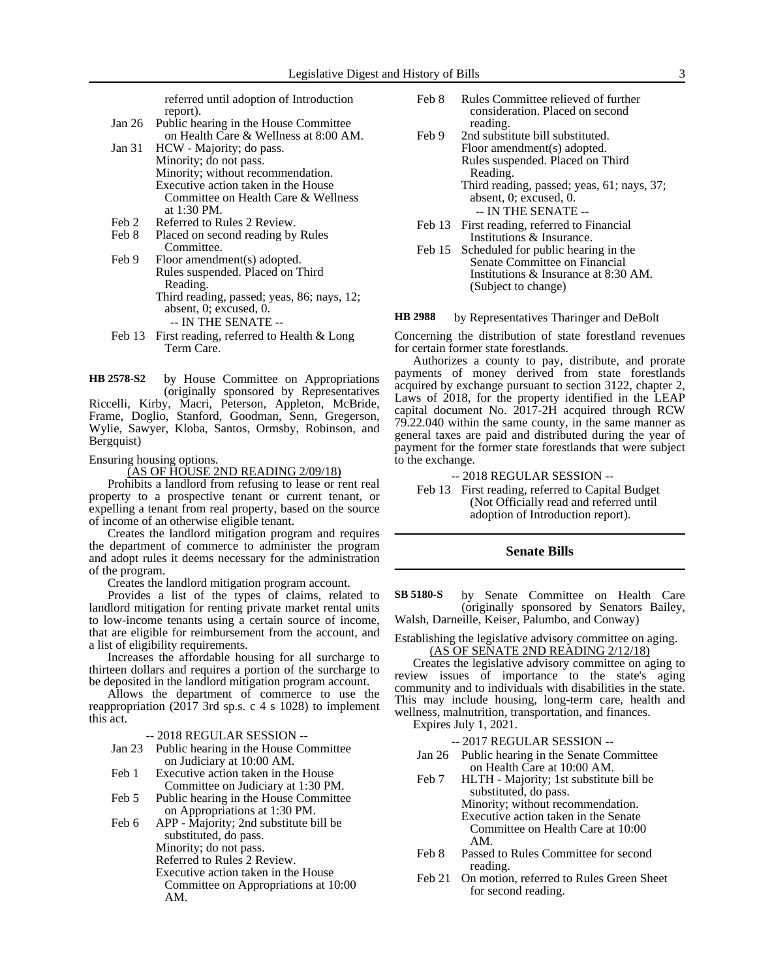referred until adoption of Introduction report).

- Jan 26 Public hearing in the House Committee on Health Care & Wellness at 8:00 AM.
- Jan 31 HCW Majority; do pass. Minority; do not pass. Minority; without recommendation. Executive action taken in the House Committee on Health Care & Wellness at 1:30 PM.
- Feb 2 Referred to Rules 2 Review.
- Feb 8 Placed on second reading by Rules Committee.
- Feb 9 Floor amendment(s) adopted. Rules suspended. Placed on Third Reading. Third reading, passed; yeas, 86; nays, 12; absent, 0; excused, 0.
	- -- IN THE SENATE --
- Feb 13 First reading, referred to Health & Long Term Care.
- by House Committee on Appropriations (originally sponsored by Representatives Riccelli, Kirby, Macri, Peterson, Appleton, McBride, **HB 2578-S2**

Frame, Doglio, Stanford, Goodman, Senn, Gregerson, Wylie, Sawyer, Kloba, Santos, Ormsby, Robinson, and Bergquist)

Ensuring housing options.

(AS OF HOUSE 2ND READING 2/09/18)

Prohibits a landlord from refusing to lease or rent real property to a prospective tenant or current tenant, or expelling a tenant from real property, based on the source of income of an otherwise eligible tenant.

Creates the landlord mitigation program and requires the department of commerce to administer the program and adopt rules it deems necessary for the administration of the program.

Creates the landlord mitigation program account.

Provides a list of the types of claims, related to landlord mitigation for renting private market rental units to low-income tenants using a certain source of income, that are eligible for reimbursement from the account, and a list of eligibility requirements.

Increases the affordable housing for all surcharge to thirteen dollars and requires a portion of the surcharge to be deposited in the landlord mitigation program account.

Allows the department of commerce to use the reappropriation (2017 3rd sp.s. c 4 s 1028) to implement this act.

-- 2018 REGULAR SESSION --

- Jan 23 Public hearing in the House Committee on Judiciary at 10:00 AM.
- Feb 1 Executive action taken in the House Committee on Judiciary at 1:30 PM.
- Feb 5 Public hearing in the House Committee on Appropriations at 1:30 PM.
- Feb 6 APP Majority; 2nd substitute bill be substituted, do pass.
	- Minority; do not pass.
	- Referred to Rules 2 Review.
	- Executive action taken in the House
	- Committee on Appropriations at 10:00 AM.
- Feb 8 Rules Committee relieved of further consideration. Placed on second reading.
- Feb 9 2nd substitute bill substituted. Floor amendment(s) adopted. Rules suspended. Placed on Third Reading. Third reading, passed; yeas, 61; nays, 37; absent, 0; excused, 0. -- IN THE SENATE --
- Feb 13 First reading, referred to Financial Institutions & Insurance.
- Feb 15 Scheduled for public hearing in the Senate Committee on Financial Institutions & Insurance at 8:30 AM. (Subject to change)

by Representatives Tharinger and DeBolt **HB 2988**

Concerning the distribution of state forestland revenues for certain former state forestlands.

Authorizes a county to pay, distribute, and prorate payments of money derived from state forestlands acquired by exchange pursuant to section 3122, chapter 2, Laws of 2018, for the property identified in the LEAP capital document No. 2017-2H acquired through RCW 79.22.040 within the same county, in the same manner as general taxes are paid and distributed during the year of payment for the former state forestlands that were subject to the exchange.

#### -- 2018 REGULAR SESSION --

Feb 13 First reading, referred to Capital Budget (Not Officially read and referred until adoption of Introduction report).

#### **Senate Bills**

by Senate Committee on Health Care (originally sponsored by Senators Bailey, Walsh, Darneille, Keiser, Palumbo, and Conway) **SB 5180-S**

#### Establishing the legislative advisory committee on aging. (AS OF SENATE 2ND READING 2/12/18)

Creates the legislative advisory committee on aging to review issues of importance to the state's aging community and to individuals with disabilities in the state. This may include housing, long-term care, health and wellness, malnutrition, transportation, and finances.

Expires July 1, 2021.

-- 2017 REGULAR SESSION --

- Jan 26 Public hearing in the Senate Committee on Health Care at 10:00 AM.
- Feb 7 HLTH Majority; 1st substitute bill be substituted, do pass. Minority; without recommendation. Executive action taken in the Senate Committee on Health Care at 10:00 AM.
- Feb 8 Passed to Rules Committee for second reading.
- Feb 21 On motion, referred to Rules Green Sheet for second reading.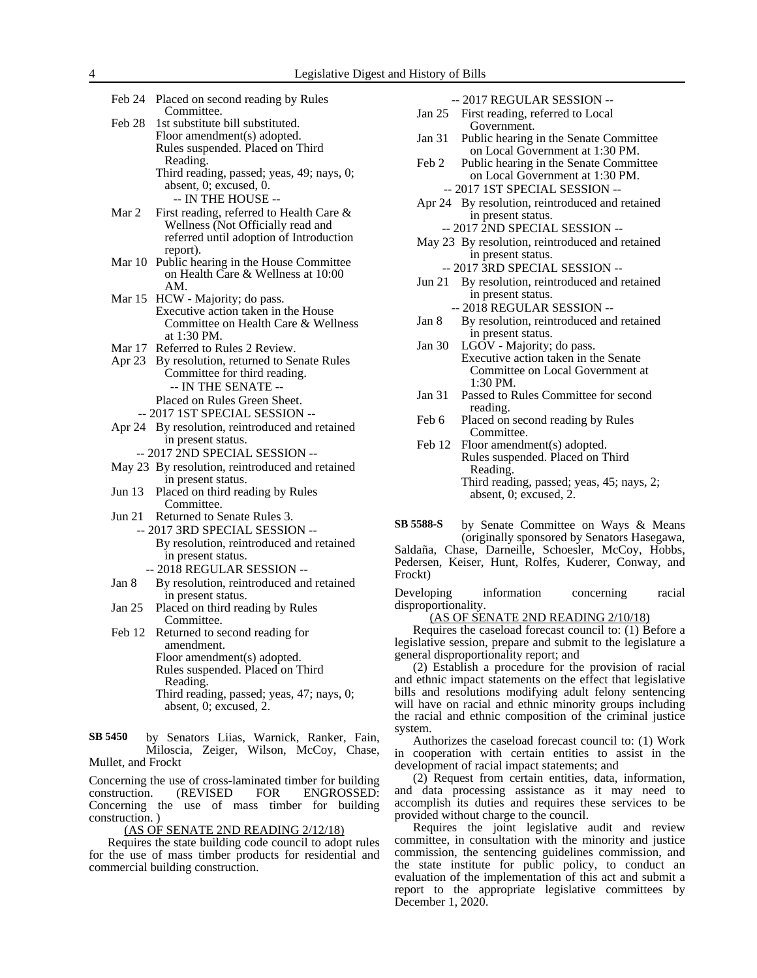| Feb 24   | Placed on second reading by Rules<br>Committee.                             |
|----------|-----------------------------------------------------------------------------|
| Feb 28   | 1st substitute bill substituted.                                            |
|          | Floor amendment(s) adopted.                                                 |
|          | Rules suspended. Placed on Third                                            |
|          | Reading.                                                                    |
|          | Third reading, passed; yeas, 49; nays, 0;                                   |
|          | absent, 0; excused, 0.                                                      |
|          | -- IN THE HOUSE --                                                          |
|          |                                                                             |
| Mar 2    | First reading, referred to Health Care &                                    |
|          | Wellness (Not Officially read and                                           |
|          | referred until adoption of Introduction                                     |
|          | report).                                                                    |
| Mar 10   | Public hearing in the House Committee<br>on Health Care & Wellness at 10:00 |
|          |                                                                             |
| Mar 15   | AM.                                                                         |
|          | HCW - Majority; do pass.<br>Executive action taken in the House             |
|          | Committee on Health Care & Wellness                                         |
|          | at 1:30 PM.                                                                 |
| Mar 17   | Referred to Rules 2 Review.                                                 |
| Apr 23   | By resolution, returned to Senate Rules                                     |
|          | Committee for third reading.                                                |
|          | -- IN THE SENATE --                                                         |
|          | Placed on Rules Green Sheet.                                                |
|          | -- 2017 IST SPECIAL SESSION --                                              |
|          |                                                                             |
|          | Apr 24 By resolution, reintroduced and retained                             |
|          | in present status.                                                          |
|          | -- 2017 2ND SPECIAL SESSION --                                              |
| May $23$ | By resolution, reintroduced and retained                                    |
| Jun 13   | in present status.<br>Placed on third reading by Rules                      |
|          | Committee.                                                                  |
| Jun 21   | Returned to Senate Rules 3.                                                 |
|          | -- 2017 3RD SPECIAL SESSION --                                              |
|          |                                                                             |
|          | By resolution, reintroduced and retained                                    |
|          | in present status.<br>-- 2018 REGULAR SESSION --                            |
|          |                                                                             |
| Jan 8    | By resolution, reintroduced and retained                                    |
| Jan $25$ | in present status.                                                          |
|          | Placed on third reading by Rules                                            |
| Feb 12   | Committee.<br>Returned to second reading for                                |
|          | amendment.                                                                  |
|          | Floor amendment(s) adonted.                                                 |
|          |                                                                             |

r amendme Rules suspended. Placed on Third

Reading.

Third reading, passed; yeas, 47; nays, 0; absent, 0; excused, 2.

by Senators Liias, Warnick, Ranker, Fain, Miloscia, Zeiger, Wilson, McCoy, Chase, Mullet, and Frockt **SB 5450**

Concerning the use of cross-laminated timber for building construction. (REVISED FOR ENGROSSED: Concerning the use of mass timber for building construction. )

(AS OF SENATE 2ND READING 2/12/18)

Requires the state building code council to adopt rules for the use of mass timber products for residential and commercial building construction.

|  |  | --2017 REGULAR SESSION -- |  |
|--|--|---------------------------|--|
|  |  |                           |  |

Jan 25 First reading, referred to Local Government.

- Jan 31 Public hearing in the Senate Committee on Local Government at 1:30 PM.
- Feb 2 Public hearing in the Senate Committee on Local Government at 1:30 PM. -- 2017 1ST SPECIAL SESSION --
- Apr 24 By resolution, reintroduced and retained in present status.
	- -- 2017 2ND SPECIAL SESSION --
- May 23 By resolution, reintroduced and retained in present status.
	- -- 2017 3RD SPECIAL SESSION --
- Jun 21 By resolution, reintroduced and retained in present status. -- 2018 REGULAR SESSION --
- Jan 8 By resolution, reintroduced and retained in present status.
- Jan 30 LGOV Majority; do pass. Executive action taken in the Senate Committee on Local Government at 1:30 PM.
- Jan 31 Passed to Rules Committee for second reading.
- Feb 6 Placed on second reading by Rules Committee.
- Feb 12 Floor amendment(s) adopted. Rules suspended. Placed on Third Reading. Third reading, passed; yeas, 45; nays, 2; absent, 0; excused, 2.

by Senate Committee on Ways & Means (originally sponsored by Senators Hasegawa, Saldaña, Chase, Darneille, Schoesler, McCoy, Hobbs, **SB 5588-S**

Pedersen, Keiser, Hunt, Rolfes, Kuderer, Conway, and Frockt)

Developing information concerning racial disproportionality.

(AS OF SENATE 2ND READING 2/10/18)

Requires the caseload forecast council to: (1) Before a legislative session, prepare and submit to the legislature a general disproportionality report; and

(2) Establish a procedure for the provision of racial and ethnic impact statements on the effect that legislative bills and resolutions modifying adult felony sentencing will have on racial and ethnic minority groups including the racial and ethnic composition of the criminal justice system.

Authorizes the caseload forecast council to: (1) Work in cooperation with certain entities to assist in the development of racial impact statements; and

(2) Request from certain entities, data, information, and data processing assistance as it may need to accomplish its duties and requires these services to be provided without charge to the council.

Requires the joint legislative audit and review committee, in consultation with the minority and justice commission, the sentencing guidelines commission, and the state institute for public policy, to conduct an evaluation of the implementation of this act and submit a report to the appropriate legislative committees by December 1, 2020.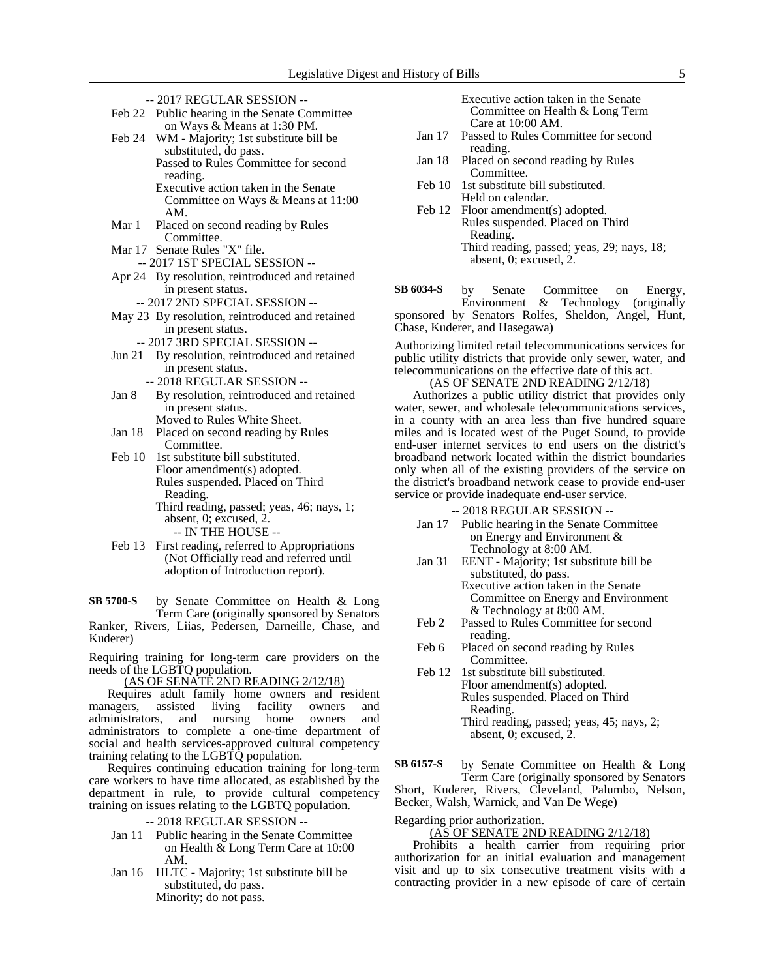- -- 2017 REGULAR SESSION -- Feb 22 Public hearing in the Senate Committee
- on Ways & Means at 1:30 PM. Feb 24 WM - Majority; 1st substitute bill be substituted, do pass.
	- Passed to Rules Committee for second reading. Executive action taken in the Senate Committee on Ways & Means at 11:00 AM.
- Mar 1 Placed on second reading by Rules Committee.
- Mar 17 Senate Rules "X" file.
- -- 2017 1ST SPECIAL SESSION --
- Apr 24 By resolution, reintroduced and retained in present status.
	- -- 2017 2ND SPECIAL SESSION --
- May 23 By resolution, reintroduced and retained in present status.
	- -- 2017 3RD SPECIAL SESSION --
- Jun 21 By resolution, reintroduced and retained in present status.
	- -- 2018 REGULAR SESSION --
- Jan 8 By resolution, reintroduced and retained in present status. Moved to Rules White Sheet.
- Jan 18 Placed on second reading by Rules Committee.
- Feb 10 1st substitute bill substituted. Floor amendment(s) adopted. Rules suspended. Placed on Third Reading.

Third reading, passed; yeas, 46; nays, 1; absent, 0; excused, 2. -- IN THE HOUSE --

Feb 13 First reading, referred to Appropriations (Not Officially read and referred until adoption of Introduction report).

by Senate Committee on Health & Long Term Care (originally sponsored by Senators Ranker, Rivers, Liias, Pedersen, Darneille, Chase, and Kuderer) **SB 5700-S**

Requiring training for long-term care providers on the needs of the LGBTQ population.

(AS OF SENATE 2ND READING 2/12/18)

Requires adult family home owners and resident managers, assisted living facility owners and administrators, and nursing home owners and administrators to complete a one-time department of social and health services-approved cultural competency training relating to the LGBTQ population.

Requires continuing education training for long-term care workers to have time allocated, as established by the department in rule, to provide cultural competency training on issues relating to the LGBTQ population.

-- 2018 REGULAR SESSION --

- Jan 11 Public hearing in the Senate Committee on Health & Long Term Care at 10:00 AM.
- Jan 16 HLTC Majority; 1st substitute bill be substituted, do pass. Minority; do not pass.

Executive action taken in the Senate Committee on Health & Long Term Care at 10:00 AM.

- Jan 17 Passed to Rules Committee for second reading.
- Jan 18 Placed on second reading by Rules Committee.
- Feb 10 1st substitute bill substituted. Held on calendar.
- Feb 12 Floor amendment(s) adopted. Rules suspended. Placed on Third Reading. Third reading, passed; yeas, 29; nays, 18; absent, 0; excused, 2.

by Senate Committee on Energy, Environment & Technology (originally sponsored by Senators Rolfes, Sheldon, Angel, Hunt, Chase, Kuderer, and Hasegawa) **SB 6034-S**

Authorizing limited retail telecommunications services for public utility districts that provide only sewer, water, and telecommunications on the effective date of this act.

(AS OF SENATE 2ND READING 2/12/18)

Authorizes a public utility district that provides only water, sewer, and wholesale telecommunications services, in a county with an area less than five hundred square miles and is located west of the Puget Sound, to provide end-user internet services to end users on the district's broadband network located within the district boundaries only when all of the existing providers of the service on the district's broadband network cease to provide end-user service or provide inadequate end-user service.

-- 2018 REGULAR SESSION --

- Jan 17 Public hearing in the Senate Committee on Energy and Environment & Technology at 8:00 AM.
- Jan 31 EENT Majority; 1st substitute bill be substituted, do pass. Executive action taken in the Senate Committee on Energy and Environment & Technology at 8:00 AM.
- Feb 2 Passed to Rules Committee for second reading.
- Feb 6 Placed on second reading by Rules Committee.
- Feb 12 1st substitute bill substituted. Floor amendment(s) adopted. Rules suspended. Placed on Third Reading. Third reading, passed; yeas, 45; nays, 2; absent, 0; excused, 2.

by Senate Committee on Health & Long Term Care (originally sponsored by Senators Short, Kuderer, Rivers, Cleveland, Palumbo, Nelson, **SB 6157-S**

Becker, Walsh, Warnick, and Van De Wege)

Regarding prior authorization.

(AS OF SENATE 2ND READING 2/12/18)

Prohibits a health carrier from requiring prior authorization for an initial evaluation and management visit and up to six consecutive treatment visits with a contracting provider in a new episode of care of certain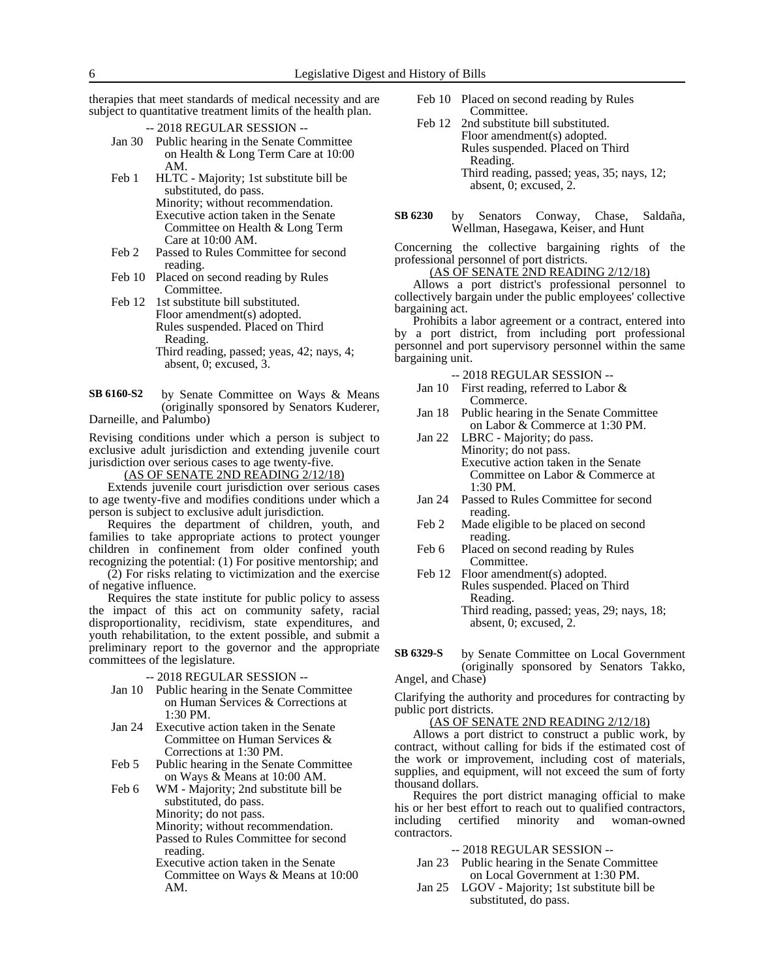therapies that meet standards of medical necessity and are subject to quantitative treatment limits of the health plan.

- -- 2018 REGULAR SESSION --
- Jan 30 Public hearing in the Senate Committee on Health & Long Term Care at 10:00 AM.
- Feb 1 HLTC Majority; 1st substitute bill be substituted, do pass. Minority; without recommendation. Executive action taken in the Senate Committee on Health & Long Term Care at 10:00 AM.
- Feb 2 Passed to Rules Committee for second reading.
- Feb 10 Placed on second reading by Rules Committee.
- Feb 12 1st substitute bill substituted. Floor amendment(s) adopted. Rules suspended. Placed on Third Reading. Third reading, passed; yeas, 42; nays, 4; absent, 0; excused, 3.
- by Senate Committee on Ways & Means (originally sponsored by Senators Kuderer, Darneille, and Palumbo) **SB 6160-S2**

Revising conditions under which a person is subject to exclusive adult jurisdiction and extending juvenile court jurisdiction over serious cases to age twenty-five.

(AS OF SENATE 2ND READING 2/12/18)

Extends juvenile court jurisdiction over serious cases to age twenty-five and modifies conditions under which a person is subject to exclusive adult jurisdiction.

Requires the department of children, youth, and families to take appropriate actions to protect younger children in confinement from older confined youth recognizing the potential: (1) For positive mentorship; and

(2) For risks relating to victimization and the exercise of negative influence.

Requires the state institute for public policy to assess the impact of this act on community safety, racial disproportionality, recidivism, state expenditures, and youth rehabilitation, to the extent possible, and submit a preliminary report to the governor and the appropriate committees of the legislature.

#### -- 2018 REGULAR SESSION --

- Jan 10 Public hearing in the Senate Committee on Human Services & Corrections at 1:30 PM.
- Jan 24 Executive action taken in the Senate Committee on Human Services & Corrections at 1:30 PM.
- Feb 5 Public hearing in the Senate Committee on Ways & Means at 10:00 AM.

Feb 6 WM - Majority; 2nd substitute bill be substituted, do pass. Minority; do not pass. Minority; without recommendation. Passed to Rules Committee for second reading.

Executive action taken in the Senate Committee on Ways & Means at 10:00 AM.

- Feb 10 Placed on second reading by Rules Committee.
- Feb 12 2nd substitute bill substituted. Floor amendment(s) adopted. Rules suspended. Placed on Third Reading. Third reading, passed; yeas, 35; nays, 12; absent, 0; excused, 2.
- by Senators Conway, Chase, Saldaña, Wellman, Hasegawa, Keiser, and Hunt **SB 6230**

Concerning the collective bargaining rights of the professional personnel of port districts.

## (AS OF SENATE 2ND READING 2/12/18)

Allows a port district's professional personnel to collectively bargain under the public employees' collective bargaining act.

Prohibits a labor agreement or a contract, entered into by a port district, from including port professional personnel and port supervisory personnel within the same bargaining unit.

- -- 2018 REGULAR SESSION --
- Jan 10 First reading, referred to Labor & Commerce.
- Jan 18 Public hearing in the Senate Committee on Labor & Commerce at 1:30 PM.
- Jan 22 LBRC Majority; do pass. Minority; do not pass. Executive action taken in the Senate Committee on Labor & Commerce at 1:30 PM.
- Jan 24 Passed to Rules Committee for second reading.
- Feb 2 Made eligible to be placed on second reading.
- Feb 6 Placed on second reading by Rules Committee.
- Feb 12 Floor amendment(s) adopted. Rules suspended. Placed on Third Reading. Third reading, passed; yeas, 29; nays, 18; absent, 0; excused, 2.
- by Senate Committee on Local Government (originally sponsored by Senators Takko, Angel, and Chase) **SB 6329-S**

Clarifying the authority and procedures for contracting by public port districts.

#### (AS OF SENATE 2ND READING 2/12/18)

Allows a port district to construct a public work, by contract, without calling for bids if the estimated cost of the work or improvement, including cost of materials, supplies, and equipment, will not exceed the sum of forty thousand dollars.

Requires the port district managing official to make his or her best effort to reach out to qualified contractors, including certified minority and woman-owned contractors.

#### -- 2018 REGULAR SESSION --

- Jan 23 Public hearing in the Senate Committee on Local Government at 1:30 PM.
- Jan 25 LGOV Majority; 1st substitute bill be substituted, do pass.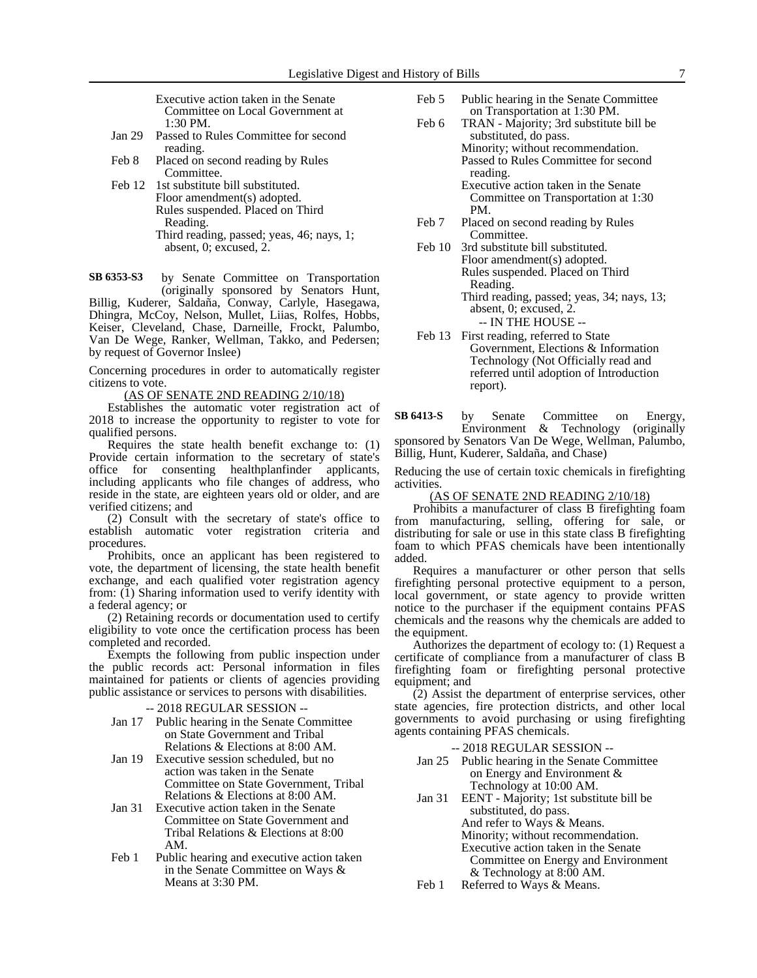Executive action taken in the Senate Committee on Local Government at 1:30 PM.

- Jan 29 Passed to Rules Committee for second reading.
- Feb 8 Placed on second reading by Rules Committee.
- Feb 12 1st substitute bill substituted. Floor amendment(s) adopted. Rules suspended. Placed on Third Reading. Third reading, passed; yeas, 46; nays, 1; absent, 0; excused, 2.

by Senate Committee on Transportation **SB 6353-S3**

(originally sponsored by Senators Hunt, Billig, Kuderer, Saldaña, Conway, Carlyle, Hasegawa, Dhingra, McCoy, Nelson, Mullet, Liias, Rolfes, Hobbs, Keiser, Cleveland, Chase, Darneille, Frockt, Palumbo, Van De Wege, Ranker, Wellman, Takko, and Pedersen; by request of Governor Inslee)

Concerning procedures in order to automatically register citizens to vote.

(AS OF SENATE 2ND READING 2/10/18)

Establishes the automatic voter registration act of 2018 to increase the opportunity to register to vote for qualified persons.

Requires the state health benefit exchange to: (1) Provide certain information to the secretary of state's office for consenting healthplanfinder applicants, including applicants who file changes of address, who reside in the state, are eighteen years old or older, and are verified citizens; and

(2) Consult with the secretary of state's office to establish automatic voter registration criteria and procedures.

Prohibits, once an applicant has been registered to vote, the department of licensing, the state health benefit exchange, and each qualified voter registration agency from: (1) Sharing information used to verify identity with a federal agency; or

(2) Retaining records or documentation used to certify eligibility to vote once the certification process has been completed and recorded.

Exempts the following from public inspection under the public records act: Personal information in files maintained for patients or clients of agencies providing public assistance or services to persons with disabilities.

- -- 2018 REGULAR SESSION --
- Jan 17 Public hearing in the Senate Committee on State Government and Tribal Relations & Elections at 8:00 AM.
- Jan 19 Executive session scheduled, but no action was taken in the Senate Committee on State Government, Tribal Relations & Elections at 8:00 AM.
- Jan 31 Executive action taken in the Senate Committee on State Government and Tribal Relations & Elections at 8:00 AM.
- Feb 1 Public hearing and executive action taken in the Senate Committee on Ways & Means at 3:30 PM.
- Feb 5 Public hearing in the Senate Committee on Transportation at 1:30 PM.
- Feb 6 TRAN Majority; 3rd substitute bill be substituted, do pass. Minority; without recommendation. Passed to Rules Committee for second reading.

Executive action taken in the Senate Committee on Transportation at 1:30 PM.

Feb 7 Placed on second reading by Rules Committee.

Feb 10 3rd substitute bill substituted. Floor amendment(s) adopted. Rules suspended. Placed on Third Reading.

- Third reading, passed; yeas, 34; nays, 13; absent, 0; excused, 2. -- IN THE HOUSE --
- Feb 13 First reading, referred to State Government, Elections & Information Technology (Not Officially read and referred until adoption of Introduction report).

by Senate Committee on Energy, Environment & Technology (originally sponsored by Senators Van De Wege, Wellman, Palumbo, Billig, Hunt, Kuderer, Saldaña, and Chase) **SB 6413-S**

Reducing the use of certain toxic chemicals in firefighting activities.

#### (AS OF SENATE 2ND READING 2/10/18)

Prohibits a manufacturer of class B firefighting foam from manufacturing, selling, offering for sale, or distributing for sale or use in this state class B firefighting foam to which PFAS chemicals have been intentionally added.

Requires a manufacturer or other person that sells firefighting personal protective equipment to a person, local government, or state agency to provide written notice to the purchaser if the equipment contains PFAS chemicals and the reasons why the chemicals are added to the equipment.

Authorizes the department of ecology to: (1) Request a certificate of compliance from a manufacturer of class B firefighting foam or firefighting personal protective equipment; and

(2) Assist the department of enterprise services, other state agencies, fire protection districts, and other local governments to avoid purchasing or using firefighting agents containing PFAS chemicals.

- -- 2018 REGULAR SESSION --
- Jan 25 Public hearing in the Senate Committee on Energy and Environment & Technology at 10:00 AM.
- Jan 31 EENT Majority; 1st substitute bill be substituted, do pass. And refer to Ways & Means. Minority; without recommendation. Executive action taken in the Senate Committee on Energy and Environment & Technology at 8:00 AM.
- Feb 1 Referred to Ways & Means.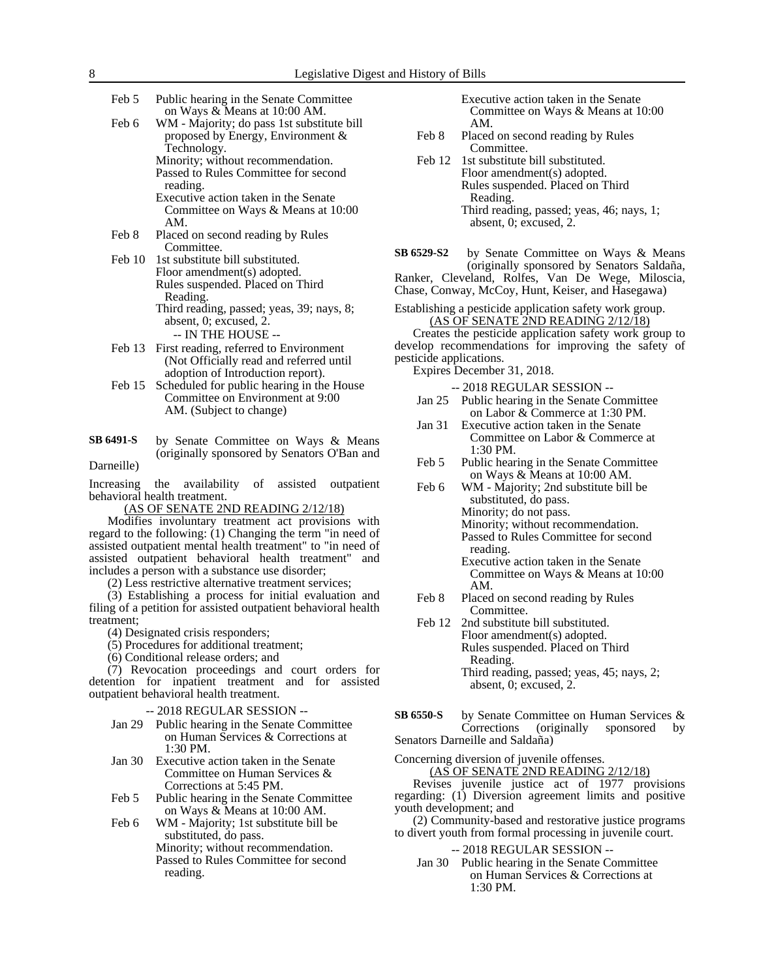- Feb 5 Public hearing in the Senate Committee on Ways & Means at 10:00 AM.
- Feb 6 WM Majority; do pass 1st substitute bill proposed by Energy, Environment & Technology. Minority; without recommendation.

Passed to Rules Committee for second reading. Executive action taken in the Senate

Committee on Ways & Means at 10:00 AM.

- Feb 8 Placed on second reading by Rules Committee.
- Feb 10 1st substitute bill substituted. Floor amendment(s) adopted. Rules suspended. Placed on Third Reading. Third reading, passed; yeas, 39; nays, 8; absent, 0; excused, 2.
	- -- IN THE HOUSE --
- Feb 13 First reading, referred to Environment (Not Officially read and referred until adoption of Introduction report).
- Feb 15 Scheduled for public hearing in the House Committee on Environment at 9:00 AM. (Subject to change)
- by Senate Committee on Ways & Means (originally sponsored by Senators O'Ban and Darneille) **SB 6491-S**

Increasing the availability of assisted outpatient behavioral health treatment.

(AS OF SENATE 2ND READING 2/12/18)

Modifies involuntary treatment act provisions with regard to the following: (1) Changing the term "in need of assisted outpatient mental health treatment" to "in need of assisted outpatient behavioral health treatment" and includes a person with a substance use disorder;

(2) Less restrictive alternative treatment services;

(3) Establishing a process for initial evaluation and filing of a petition for assisted outpatient behavioral health treatment;

(4) Designated crisis responders;

- (5) Procedures for additional treatment;
- (6) Conditional release orders; and

(7) Revocation proceedings and court orders for detention for inpatient treatment and for assisted outpatient behavioral health treatment.

-- 2018 REGULAR SESSION --

- Jan 29 Public hearing in the Senate Committee on Human Services & Corrections at 1:30 PM.
- Jan 30 Executive action taken in the Senate Committee on Human Services & Corrections at 5:45 PM.
- Feb 5 Public hearing in the Senate Committee on Ways & Means at 10:00 AM.
- Feb 6 WM Majority; 1st substitute bill be substituted, do pass.

Minority; without recommendation. Passed to Rules Committee for second reading.

Executive action taken in the Senate Committee on Ways & Means at 10:00 AM.

- Feb 8 Placed on second reading by Rules Committee.
- Feb 12 1st substitute bill substituted. Floor amendment(s) adopted. Rules suspended. Placed on Third Reading. Third reading, passed; yeas, 46; nays, 1; absent, 0; excused, 2.
- by Senate Committee on Ways & Means (originally sponsored by Senators Saldaña, **SB 6529-S2**
- Ranker, Cleveland, Rolfes, Van De Wege, Miloscia, Chase, Conway, McCoy, Hunt, Keiser, and Hasegawa)
- 

### Establishing a pesticide application safety work group. (AS OF SENATE 2ND READING 2/12/18)

Creates the pesticide application safety work group to develop recommendations for improving the safety of pesticide applications.

Expires December 31, 2018.

- -- 2018 REGULAR SESSION --
- Jan 25 Public hearing in the Senate Committee on Labor & Commerce at 1:30 PM.
- Jan 31 Executive action taken in the Senate Committee on Labor & Commerce at 1:30 PM.
- Feb 5 Public hearing in the Senate Committee on Ways & Means at 10:00 AM.
- Feb 6 WM Majority; 2nd substitute bill be substituted, do pass. Minority; do not pass. Minority; without recommendation. Passed to Rules Committee for second reading. Executive action taken in the Senate

Committee on Ways & Means at 10:00 AM.

- Feb 8 Placed on second reading by Rules Committee.
- Feb 12 2nd substitute bill substituted. Floor amendment(s) adopted. Rules suspended. Placed on Third Reading. Third reading, passed; yeas, 45; nays, 2; absent, 0; excused, 2.
- by Senate Committee on Human Services &<br>Corrections (originally sponsored by (originally sponsored by Senators Darneille and Saldaña) **SB 6550-S**

Concerning diversion of juvenile offenses. (AS OF SENATE 2ND READING 2/12/18)

Revises juvenile justice act of 1977 provisions regarding: (1) Diversion agreement limits and positive youth development; and

(2) Community-based and restorative justice programs to divert youth from formal processing in juvenile court.

- -- 2018 REGULAR SESSION --
- Jan 30 Public hearing in the Senate Committee on Human Services & Corrections at 1:30 PM.